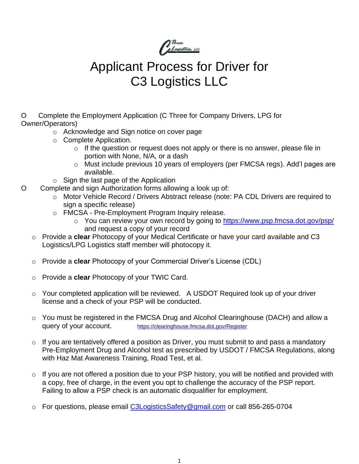

# Applicant Process for Driver for C3 Logistics LLC

O Complete the Employment Application (C Three for Company Drivers, LPG for Owner/Operators)

- o Acknowledge and Sign notice on cover page
- o Complete Application.
	- $\circ$  If the question or request does not apply or there is no answer, please file in portion with None, N/A, or a dash
	- o Must include previous 10 years of employers (per FMCSA regs). Add'l pages are available.
- o Sign the last page of the Application
- O Complete and sign Authorization forms allowing a look up of:
	- o Motor Vehicle Record / Drivers Abstract release (note: PA CDL Drivers are required to sign a specific release)
	- o FMCSA Pre-Employment Program Inquiry release.
		- o You can review your own record by going to <https://www.psp.fmcsa.dot.gov/psp/> and request a copy of your record
	- o Provide a **clear** Photocopy of your Medical Certificate or have your card available and C3 Logistics/LPG Logistics staff member will photocopy it.
	- o Provide a **clear** Photocopy of your Commercial Driver's License (CDL)
	- o Provide a **clear** Photocopy of your TWIC Card.
	- o Your completed application will be reviewed. A USDOT Required look up of your driver license and a check of your PSP will be conducted.
	- $\circ$  You must be registered in the FMCSA Drug and Alcohol Clearinghouse (DACH) and allow a query of your account. <https://clearinghouse.fmcsa.dot.gov/Register>
	- $\circ$  If you are tentatively offered a position as Driver, you must submit to and pass a mandatory Pre-Employment Drug and Alcohol test as prescribed by USDOT / FMCSA Regulations, along with Haz Mat Awareness Training, Road Test, et al.
	- $\circ$  If you are not offered a position due to your PSP history, you will be notified and provided with a copy, free of charge, in the event you opt to challenge the accuracy of the PSP report. Failing to allow a PSP check is an automatic disqualifier for employment.
	- o For questions, please email [C3LogisticsSafety@gmail.com](mailto:C3LogisticsSafety@gmail.com) or call 856-265-0704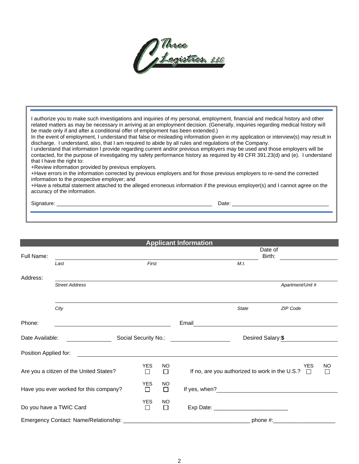

I authorize you to make such investigations and inquiries of my personal, employment, financial and medical history and other related matters as may be necessary in arriving at an employment decision. (Generally, inquiries regarding medical history will be made only if and after a conditional offer of employment has been extended.)

In the event of employment, I understand that false or misleading information given in my application or interview(s) may result in discharge. I understand, also, that I am required to abide by all rules and regulations of the Company.

I understand that information I provide regarding current and/or previous employers may be used and those employers will be contacted, for the purpose of investigating my safety performance history as required by 49 CFR 391.23(d) and (e). I understand that I have the right to:

+Review information provided by previous employers.

+Have errors in the information corrected by previous employers and for those previous employers to re-send the corrected information to the prospective employer; and

+Have a rebuttal statement attached to the alleged erroneous information if the previous employer(s) and I cannot agree on the accuracy of the information.

Signature: \_\_\_\_\_\_\_\_\_\_\_\_\_\_\_\_\_\_\_\_\_\_\_\_\_\_\_\_\_\_\_\_\_\_\_\_\_\_\_\_\_\_\_\_\_\_\_\_\_\_\_\_\_ Date: \_\_\_\_\_\_\_\_\_\_\_\_\_\_\_\_\_\_\_\_\_\_\_\_\_\_\_\_\_\_\_\_\_

|                                         |                                         |                 |              | <b>Applicant Information</b> |              |                                                                     |                     |
|-----------------------------------------|-----------------------------------------|-----------------|--------------|------------------------------|--------------|---------------------------------------------------------------------|---------------------|
| Full Name:                              |                                         |                 |              |                              |              | Date of<br>Birth:                                                   |                     |
|                                         | Last                                    | First           |              |                              | M.I.         |                                                                     |                     |
| Address:                                |                                         |                 |              |                              |              |                                                                     |                     |
|                                         | <b>Street Address</b>                   |                 |              |                              |              | Apartment/Unit #                                                    |                     |
|                                         |                                         |                 |              |                              |              |                                                                     |                     |
|                                         | City                                    |                 |              |                              | <b>State</b> | ZIP Code                                                            |                     |
| Phone:                                  |                                         |                 |              | Email                        |              |                                                                     |                     |
| Social Security No.:<br>Date Available: |                                         |                 |              | Desired Salary:\$            |              |                                                                     |                     |
| Position Applied for:                   |                                         |                 |              |                              |              |                                                                     |                     |
|                                         | Are you a citizen of the United States? | <b>YES</b><br>□ | NO<br>$\Box$ |                              |              | <b>YES</b><br>If no, are you authorized to work in the U.S.? $\Box$ | <b>NO</b><br>$\Box$ |
|                                         | Have you ever worked for this company?  | <b>YES</b><br>П | NO<br>П      |                              |              |                                                                     |                     |
|                                         | Do you have a TWIC Card                 | YES<br>$\Box$   | NO<br>П      |                              |              |                                                                     |                     |
|                                         | Emergency Contact: Name/Relationship:   |                 |              |                              | phone #:     |                                                                     |                     |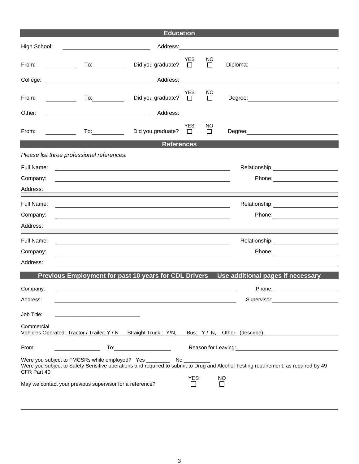|                                                                                                                                                                                                                                                           | <b>Education</b>            |                      |              |                                                                                                                                                                                                                                |  |  |
|-----------------------------------------------------------------------------------------------------------------------------------------------------------------------------------------------------------------------------------------------------------|-----------------------------|----------------------|--------------|--------------------------------------------------------------------------------------------------------------------------------------------------------------------------------------------------------------------------------|--|--|
| High School:                                                                                                                                                                                                                                              |                             |                      |              |                                                                                                                                                                                                                                |  |  |
| From:<br><u>and the state of the state of the state of the state of the state of the state of the state of the state of the state of the state of the state of the state of the state of the state of the state of the state of the state</u>             | Did you graduate? $\square$ | <b>YES</b>           | NO<br>$\Box$ |                                                                                                                                                                                                                                |  |  |
| College:<br><u> 1990 - Johann Barbara, martin amerikan ba</u>                                                                                                                                                                                             | Address: 1988               |                      |              |                                                                                                                                                                                                                                |  |  |
| From:                                                                                                                                                                                                                                                     | Did you graduate?           | <b>YES</b><br>$\Box$ | NO<br>$\Box$ | Degree: <u>_____________________</u>                                                                                                                                                                                           |  |  |
| Other:<br><u> 1989 - Johann Barn, fransk politik (d. 1989)</u>                                                                                                                                                                                            | Address:                    |                      |              |                                                                                                                                                                                                                                |  |  |
| From:<br>$\overline{a}$ To: $\overline{a}$<br><u>and the state</u>                                                                                                                                                                                        | Did you graduate?           | <b>YES</b><br>$\Box$ | ΝO<br>$\Box$ |                                                                                                                                                                                                                                |  |  |
|                                                                                                                                                                                                                                                           | <b>References</b>           |                      |              |                                                                                                                                                                                                                                |  |  |
| Please list three professional references.                                                                                                                                                                                                                |                             |                      |              |                                                                                                                                                                                                                                |  |  |
| Full Name:                                                                                                                                                                                                                                                |                             |                      |              | Relationship: Note and the set of the set of the set of the set of the set of the set of the set of the set of the set of the set of the set of the set of the set of the set of the set of the set of the set of the set of t |  |  |
| Company:                                                                                                                                                                                                                                                  |                             |                      |              |                                                                                                                                                                                                                                |  |  |
| Address:                                                                                                                                                                                                                                                  |                             |                      |              |                                                                                                                                                                                                                                |  |  |
| Full Name:                                                                                                                                                                                                                                                |                             |                      |              |                                                                                                                                                                                                                                |  |  |
| Company:                                                                                                                                                                                                                                                  |                             |                      |              |                                                                                                                                                                                                                                |  |  |
| Address:                                                                                                                                                                                                                                                  |                             |                      |              |                                                                                                                                                                                                                                |  |  |
| Full Name:                                                                                                                                                                                                                                                |                             |                      |              |                                                                                                                                                                                                                                |  |  |
| Company:<br>and the control of the control of the control of the control of the control of the control of the control of the                                                                                                                              |                             |                      |              | Phone: <u>_________________</u>                                                                                                                                                                                                |  |  |
| Address:                                                                                                                                                                                                                                                  |                             |                      |              |                                                                                                                                                                                                                                |  |  |
|                                                                                                                                                                                                                                                           |                             |                      |              | Previous Employment for past 10 years for CDL Drivers Use additional pages if necessary                                                                                                                                        |  |  |
| Company:                                                                                                                                                                                                                                                  |                             |                      |              | Phone:                                                                                                                                                                                                                         |  |  |
| Address:                                                                                                                                                                                                                                                  |                             |                      |              |                                                                                                                                                                                                                                |  |  |
| Job Title:                                                                                                                                                                                                                                                |                             |                      |              |                                                                                                                                                                                                                                |  |  |
| the control of the control of the control of the control of the control of<br>Commercial<br>Vehicles Operated: Tractor / Trailer: Y / N Straight Truck : Y/N,                                                                                             |                             |                      |              | Bus: Y / N, Other: (describe):                                                                                                                                                                                                 |  |  |
| To:<br>From:                                                                                                                                                                                                                                              |                             |                      |              | Reason for Leaving: Network of the Contract of the Contract of the Contract of the Contract of the Contract of                                                                                                                 |  |  |
| Were you subject to FMCSRs while employed? Yes __________________________________<br>Were you subject to Safety Sensitive operations and required to submit to Drug and Alcohol Testing requirement, as required by 49<br>CFR Part 40<br><b>YES</b><br>NO |                             |                      |              |                                                                                                                                                                                                                                |  |  |
| May we contact your previous supervisor for a reference?                                                                                                                                                                                                  |                             | $\mathsf{L}$         | $\mathbf{I}$ |                                                                                                                                                                                                                                |  |  |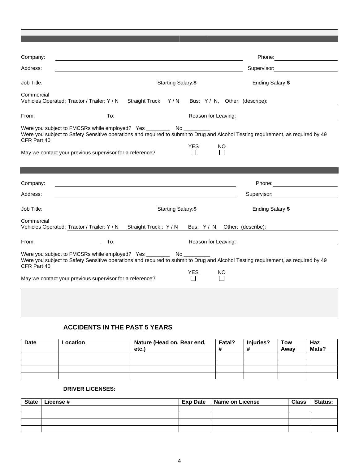| Company:                                                   |                                                                                                                                               |                           | Phone: 2000                                                                                                                                                                                                                            |
|------------------------------------------------------------|-----------------------------------------------------------------------------------------------------------------------------------------------|---------------------------|----------------------------------------------------------------------------------------------------------------------------------------------------------------------------------------------------------------------------------------|
| Address:                                                   |                                                                                                                                               |                           | Supervisor: Supervisor:                                                                                                                                                                                                                |
| Job Title:                                                 |                                                                                                                                               | <b>Starting Salary:\$</b> | Ending Salary: \$                                                                                                                                                                                                                      |
| Commercial                                                 | Vehicles Operated: Tractor / Trailer: Y / N Straight Truck Y / N Bus: Y / N, Other: (describe):                                               |                           |                                                                                                                                                                                                                                        |
| From:                                                      |                                                                                                                                               |                           | Reason for Leaving:<br><u>Next and the manufacture of the set of the set of the set of the set of the set of the set of the set of the set of the set of the set of the set of the set of the set of the set of the set of the set</u> |
| CFR Part 40                                                | Were you subject to FMCSRs while employed? Yes __________________________________<br>May we contact your previous supervisor for a reference? | YES.<br>NO                | Were you subject to Safety Sensitive operations and required to submit to Drug and Alcohol Testing requirement, as required by 49                                                                                                      |
|                                                            |                                                                                                                                               |                           |                                                                                                                                                                                                                                        |
| Company:                                                   |                                                                                                                                               |                           | Phone: Note that the state of the state of the state of the state of the state of the state of the state of the state of the state of the state of the state of the state of the state of the state of the state of the state          |
| Address:                                                   | <u> 1989 - Jan Salaman Salaman (j. 1989)</u>                                                                                                  |                           | Supervisor: and the state of the state of the state of the state of the state of the state of the state of the                                                                                                                         |
| Job Title:                                                 |                                                                                                                                               | Starting Salary:\$        | Ending Salary: \$                                                                                                                                                                                                                      |
| Commercial                                                 | Vehicles Operated: Tractor / Trailer: Y / N Straight Truck: Y / N Bus: Y / N, Other: (describe):                                              |                           |                                                                                                                                                                                                                                        |
| From:<br><u> 1990 - Johann Barbara, politik e</u> ta eta a |                                                                                                                                               |                           | Reason for Leaving: 1990 and 200 million and 200 million and 200 million and 200 million and 200 million and 20                                                                                                                        |
| CFR Part 40                                                | Were you subject to FMCSRs while employed? Yes __________________________________                                                             | YES<br>ΝO                 | Were you subject to Safety Sensitive operations and required to submit to Drug and Alcohol Testing requirement, as required by 49                                                                                                      |

## **ACCIDENTS IN THE PAST 5 YEARS**

| <b>Date</b> | Location | Nature (Head on, Rear end,<br>etc.) | Fatal?<br># | Injuries?<br>$\bm{\pi}$ | Tow<br>Awav | Haz<br>Mats? |
|-------------|----------|-------------------------------------|-------------|-------------------------|-------------|--------------|
|             |          |                                     |             |                         |             |              |
|             |          |                                     |             |                         |             |              |
|             |          |                                     |             |                         |             |              |
|             |          |                                     |             |                         |             |              |

## **DRIVER LICENSES:**

| <b>State</b> | License # | <b>Exp Date</b> | Name on License | <b>Class</b> | <b>Status:</b> |
|--------------|-----------|-----------------|-----------------|--------------|----------------|
|              |           |                 |                 |              |                |
|              |           |                 |                 |              |                |
|              |           |                 |                 |              |                |
|              |           |                 |                 |              |                |